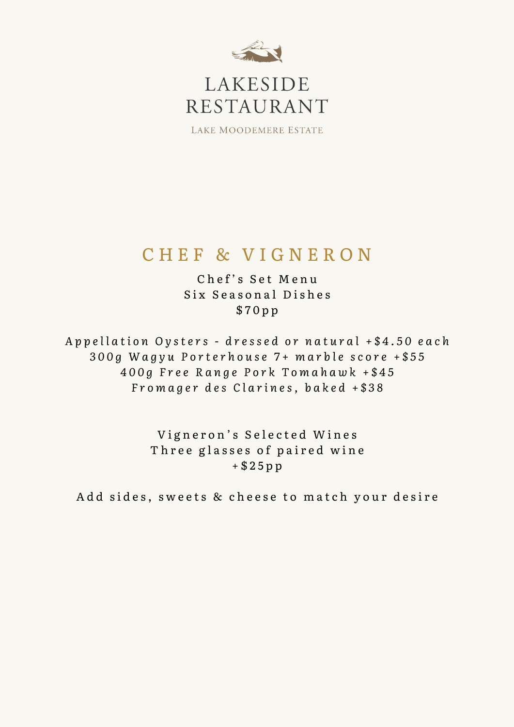

# LAKESIDE RESTAURANT

LAKE MOODEMERE ESTATE

# CHEF & VIGNERON

Chef's Set Menu Six Seasonal Dishes \$ 7 0 p p

Appellation Oysters - dressed or natural +\$4.50 each 300g Wagyu Porterhouse 7+ marble score +\$55 400g Free Range Pork Tomahawk +\$45 Fromager des Clarines, baked +\$38

> Vigneron's Selected Wines Three glasses of paired wine + \$ 2 5 p p

Add sides, sweets & cheese to match your desire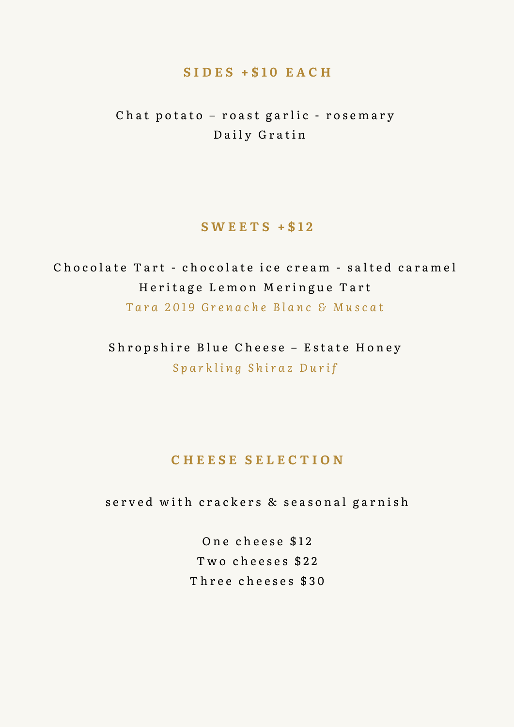## **S I D E S + \$ 1 0 E A C H**

Chat potato - roast garlic - rosemary Daily Gratin

# **S W E E T S + \$ 1 2**

Chocolate Tart - chocolate ice cream - salted caramel Heritage Lemon Meringue Tart Tara 2019 Grenache Blanc & Muscat

> Shropshire Blue Cheese - Estate Honey *S p a r k l i n g S h i r a z D u r i f*

# **C H E E S E S E L E C T I O N**

served with crackers & seasonal garnish

One cheese \$12 Two cheeses \$22 Three cheeses \$30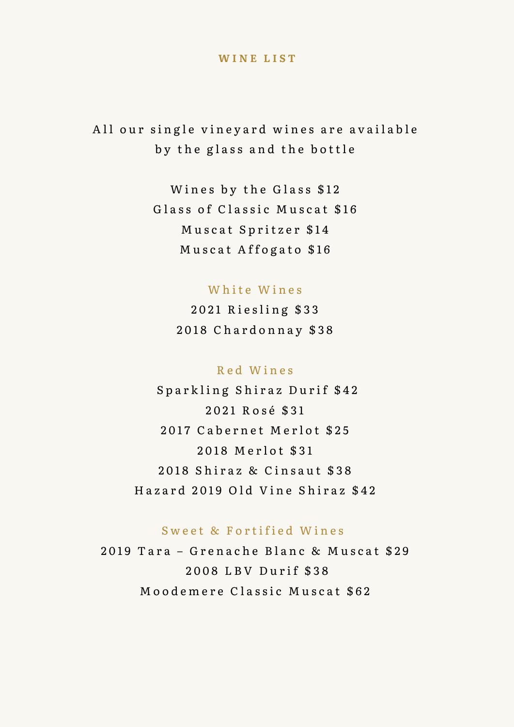#### **WINE LIST**

All our single vineyard wines are available by the glass and the bottle

> Wines by the Glass \$12 Glass of Classic Muscat \$16 Muscat Spritzer \$14 Muscat Affogato \$16

### White Wines

2021 Riesling \$33 2018 Chardonnay \$38

#### Red Wines

Sparkling Shiraz Durif \$42 2021 Rosé \$31 2017 Cabernet Merlot \$25 2018 Merlot \$31 2018 Shiraz & Cinsaut \$38 Hazard 2019 Old Vine Shiraz \$42

#### Sweet & Fortified Wines

2019 Tara - Grenache Blanc & Muscat \$29 2008 LBV Durif \$38 Moodemere Classic Muscat \$62